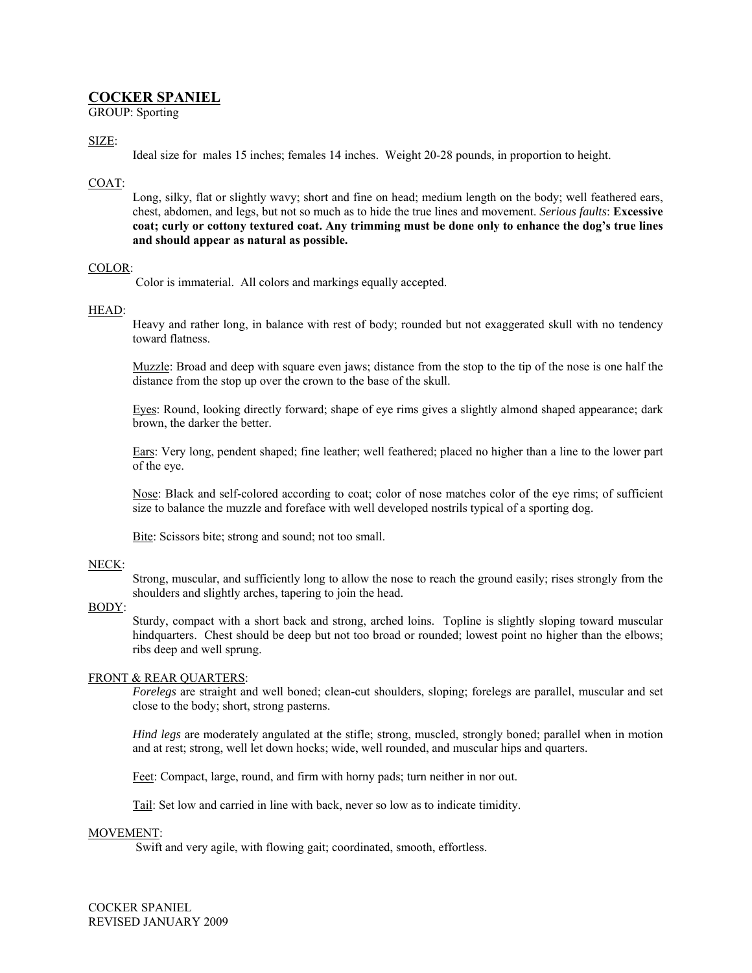# **COCKER SPANIEL**

GROUP: Sporting

## SIZE:

Ideal size for males 15 inches; females 14 inches. Weight 20-28 pounds, in proportion to height.

# COAT:

Long, silky, flat or slightly wavy; short and fine on head; medium length on the body; well feathered ears, chest, abdomen, and legs, but not so much as to hide the true lines and movement. *Serious faults*: **Excessive coat; curly or cottony textured coat. Any trimming must be done only to enhance the dog's true lines and should appear as natural as possible.** 

### COLOR:

Color is immaterial. All colors and markings equally accepted.

### HEAD:

Heavy and rather long, in balance with rest of body; rounded but not exaggerated skull with no tendency toward flatness.

Muzzle: Broad and deep with square even jaws; distance from the stop to the tip of the nose is one half the distance from the stop up over the crown to the base of the skull.

Eyes: Round, looking directly forward; shape of eye rims gives a slightly almond shaped appearance; dark brown, the darker the better.

Ears: Very long, pendent shaped; fine leather; well feathered; placed no higher than a line to the lower part of the eye.

Nose: Black and self-colored according to coat; color of nose matches color of the eye rims; of sufficient size to balance the muzzle and foreface with well developed nostrils typical of a sporting dog.

Bite: Scissors bite; strong and sound; not too small.

#### NECK:

Strong, muscular, and sufficiently long to allow the nose to reach the ground easily; rises strongly from the shoulders and slightly arches, tapering to join the head.

#### BODY:

Sturdy, compact with a short back and strong, arched loins. Topline is slightly sloping toward muscular hindquarters. Chest should be deep but not too broad or rounded; lowest point no higher than the elbows; ribs deep and well sprung.

### FRONT & REAR QUARTERS:

*Forelegs* are straight and well boned; clean-cut shoulders, sloping; forelegs are parallel, muscular and set close to the body; short, strong pasterns.

*Hind legs* are moderately angulated at the stifle; strong, muscled, strongly boned; parallel when in motion and at rest; strong, well let down hocks; wide, well rounded, and muscular hips and quarters.

Feet: Compact, large, round, and firm with horny pads; turn neither in nor out.

Tail: Set low and carried in line with back, never so low as to indicate timidity.

#### MOVEMENT:

Swift and very agile, with flowing gait; coordinated, smooth, effortless.

COCKER SPANIEL REVISED JANUARY 2009